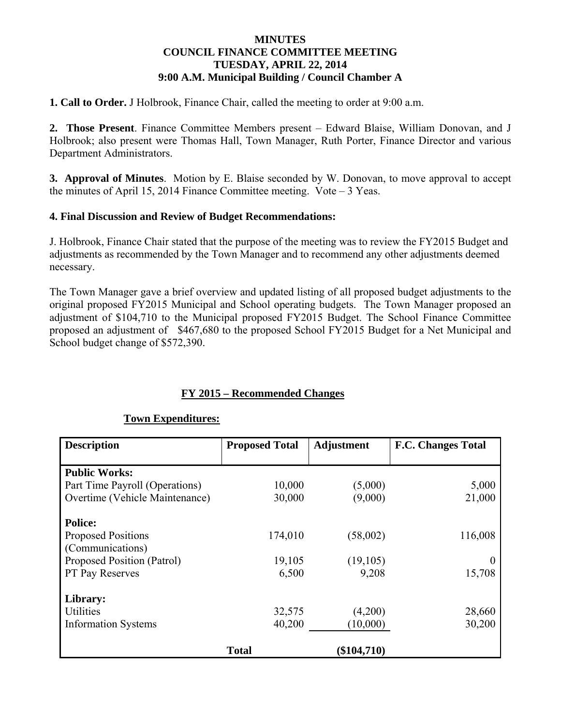### **MINUTES COUNCIL FINANCE COMMITTEE MEETING TUESDAY, APRIL 22, 2014 9:00 A.M. Municipal Building / Council Chamber A**

**1. Call to Order.** J Holbrook, Finance Chair, called the meeting to order at 9:00 a.m.

**2. Those Present**. Finance Committee Members present – Edward Blaise, William Donovan, and J Holbrook; also present were Thomas Hall, Town Manager, Ruth Porter, Finance Director and various Department Administrators.

**3. Approval of Minutes**. Motion by E. Blaise seconded by W. Donovan, to move approval to accept the minutes of April 15, 2014 Finance Committee meeting. Vote  $-3$  Yeas.

### **4. Final Discussion and Review of Budget Recommendations:**

J. Holbrook, Finance Chair stated that the purpose of the meeting was to review the FY2015 Budget and adjustments as recommended by the Town Manager and to recommend any other adjustments deemed necessary.

The Town Manager gave a brief overview and updated listing of all proposed budget adjustments to the original proposed FY2015 Municipal and School operating budgets. The Town Manager proposed an adjustment of \$104,710 to the Municipal proposed FY2015 Budget. The School Finance Committee proposed an adjustment of \$467,680 to the proposed School FY2015 Budget for a Net Municipal and School budget change of \$572,390.

## **FY 2015 – Recommended Changes**

#### **Town Expenditures:**

| <b>Description</b>             | <b>Proposed Total</b> | Adjustment    | <b>F.C. Changes Total</b> |
|--------------------------------|-----------------------|---------------|---------------------------|
|                                |                       |               |                           |
| <b>Public Works:</b>           |                       |               |                           |
| Part Time Payroll (Operations) | 10,000                | (5,000)       | 5,000                     |
| Overtime (Vehicle Maintenance) | 30,000                | (9,000)       | 21,000                    |
| <b>Police:</b>                 |                       |               |                           |
| <b>Proposed Positions</b>      | 174,010               | (58,002)      | 116,008                   |
| (Communications)               |                       |               |                           |
| Proposed Position (Patrol)     | 19,105                | (19, 105)     |                           |
| PT Pay Reserves                | 6,500                 | 9,208         | 15,708                    |
| Library:                       |                       |               |                           |
| <b>Utilities</b>               | 32,575                | (4,200)       | 28,660                    |
| <b>Information Systems</b>     | 40,200                | (10,000)      | 30,200                    |
|                                | <b>Total</b>          | $(\$104,710)$ |                           |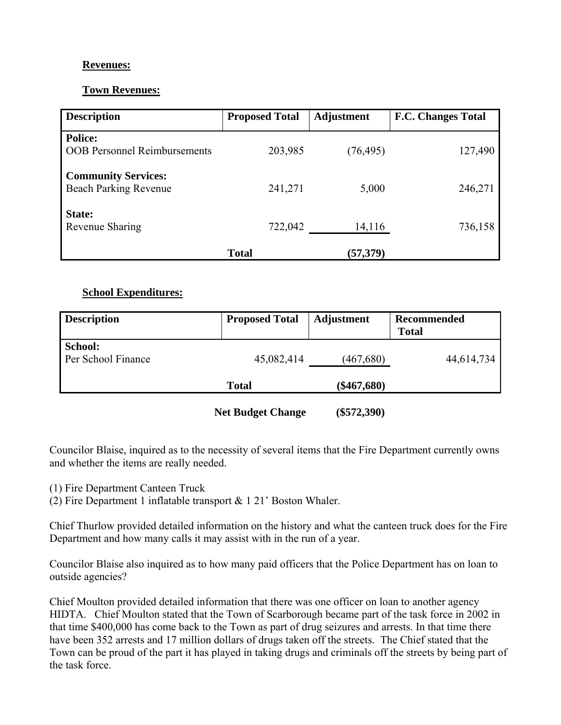## **Revenues:**

## **Town Revenues:**

| <b>Description</b>                                         | <b>Proposed Total</b> | <b>Adjustment</b> | <b>F.C. Changes Total</b> |
|------------------------------------------------------------|-----------------------|-------------------|---------------------------|
| <b>Police:</b><br><b>OOB Personnel Reimbursements</b>      | 203,985               | (76, 495)         | 127,490                   |
| <b>Community Services:</b><br><b>Beach Parking Revenue</b> | 241,271               | 5,000             | 246,271                   |
| State:<br>Revenue Sharing                                  | 722,042               | 14,116            | 736,158                   |
|                                                            | <b>Total</b>          | (57, 379)         |                           |

# **School Expenditures:**

| <b>Description</b>            | <b>Proposed Total</b> | <b>Adjustment</b> | Recommended<br><b>Total</b> |
|-------------------------------|-----------------------|-------------------|-----------------------------|
| School:<br>Per School Finance | 45,082,414            | (467, 680)        | 44,614,734                  |
|                               | <b>Total</b>          | $(\$467,680)$     |                             |

**Net Budget Change (\$572,390)** 

Councilor Blaise, inquired as to the necessity of several items that the Fire Department currently owns and whether the items are really needed.

- (1) Fire Department Canteen Truck
- (2) Fire Department 1 inflatable transport & 1 21' Boston Whaler.

Chief Thurlow provided detailed information on the history and what the canteen truck does for the Fire Department and how many calls it may assist with in the run of a year.

Councilor Blaise also inquired as to how many paid officers that the Police Department has on loan to outside agencies?

Chief Moulton provided detailed information that there was one officer on loan to another agency HIDTA. Chief Moulton stated that the Town of Scarborough became part of the task force in 2002 in that time \$400,000 has come back to the Town as part of drug seizures and arrests. In that time there have been 352 arrests and 17 million dollars of drugs taken off the streets. The Chief stated that the Town can be proud of the part it has played in taking drugs and criminals off the streets by being part of the task force.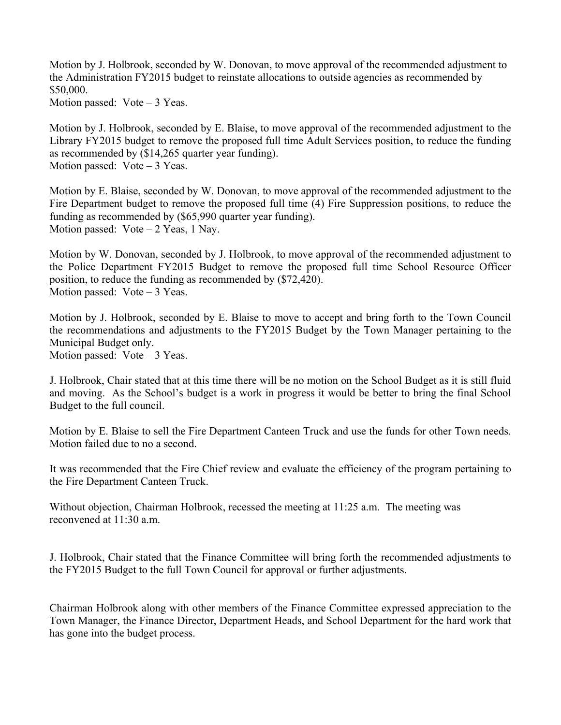Motion by J. Holbrook, seconded by W. Donovan, to move approval of the recommended adjustment to the Administration FY2015 budget to reinstate allocations to outside agencies as recommended by \$50,000.

Motion passed:  $Vote-3$  Yeas.

Motion by J. Holbrook, seconded by E. Blaise, to move approval of the recommended adjustment to the Library FY2015 budget to remove the proposed full time Adult Services position, to reduce the funding as recommended by (\$14,265 quarter year funding). Motion passed: Vote – 3 Yeas.

Motion by E. Blaise, seconded by W. Donovan, to move approval of the recommended adjustment to the Fire Department budget to remove the proposed full time (4) Fire Suppression positions, to reduce the funding as recommended by (\$65,990 quarter year funding). Motion passed:  $Vote-2$  Yeas, 1 Nay.

Motion by W. Donovan, seconded by J. Holbrook, to move approval of the recommended adjustment to the Police Department FY2015 Budget to remove the proposed full time School Resource Officer position, to reduce the funding as recommended by (\$72,420). Motion passed: Vote – 3 Yeas.

Motion by J. Holbrook, seconded by E. Blaise to move to accept and bring forth to the Town Council the recommendations and adjustments to the FY2015 Budget by the Town Manager pertaining to the Municipal Budget only.

Motion passed: Vote – 3 Yeas.

J. Holbrook, Chair stated that at this time there will be no motion on the School Budget as it is still fluid and moving. As the School's budget is a work in progress it would be better to bring the final School Budget to the full council.

Motion by E. Blaise to sell the Fire Department Canteen Truck and use the funds for other Town needs. Motion failed due to no a second.

It was recommended that the Fire Chief review and evaluate the efficiency of the program pertaining to the Fire Department Canteen Truck.

Without objection, Chairman Holbrook, recessed the meeting at 11:25 a.m. The meeting was reconvened at 11:30 a.m.

J. Holbrook, Chair stated that the Finance Committee will bring forth the recommended adjustments to the FY2015 Budget to the full Town Council for approval or further adjustments.

Chairman Holbrook along with other members of the Finance Committee expressed appreciation to the Town Manager, the Finance Director, Department Heads, and School Department for the hard work that has gone into the budget process.